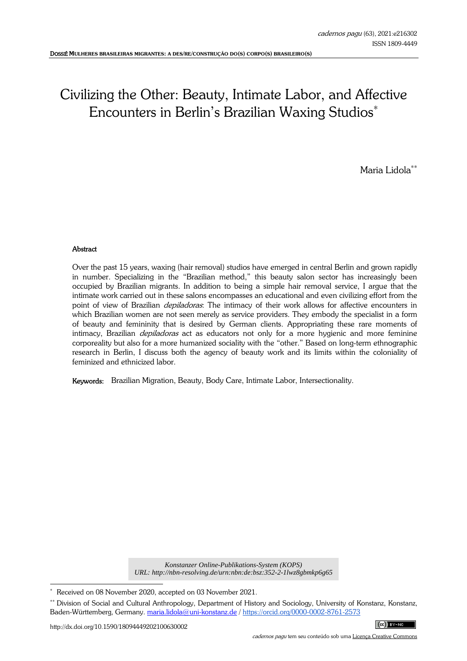# Civilizing the Other: Beauty, Intimate Labor, and Affective Encounters in Berlin's Brazilian Waxing Studios<sup>\*</sup>

Maria Lidola∗∗

## **Abstract**

Over the past 15 years, waxing (hair removal) studios have emerged in central Berlin and grown rapidly in number. Specializing in the "Brazilian method," this beauty salon sector has increasingly been occupied by Brazilian migrants. In addition to being a simple hair removal service, I argue that the intimate work carried out in these salons encompasses an educational and even civilizing effort from the point of view of Brazilian *depiladoras*: The intimacy of their work allows for affective encounters in which Brazilian women are not seen merely as service providers. They embody the specialist in a form of beauty and femininity that is desired by German clients. Appropriating these rare moments of intimacy, Brazilian *depiladoras* act as educators not only for a more hygienic and more feminine corporeality but also for a more humanized sociality with the "other." Based on long-term ethnographic research in Berlin, I discuss both the agency of beauty work and its limits within the coloniality of feminized and ethnicized labor.

Keywords: Brazilian Migration, Beauty, Body Care, Intimate Labor, Intersectionality.

*Konstanzer Online-Publikations-System (KOPS) URL: http://nbn-resolving.de/urn:nbn:de:bsz:352-2-1lwz8gbmkp6g65*

j

<sup>∗</sup> Received on 08 November 2020, accepted on 03 November 2021.

<sup>∗∗</sup> Division of Social and Cultural Anthropology, Department of History and Sociology, University of Konstanz, Konstanz, Baden-Württemberg, Germany. maria.lidola@uni-konstanz.de / https://orcid.org/0000-0002-8761-2573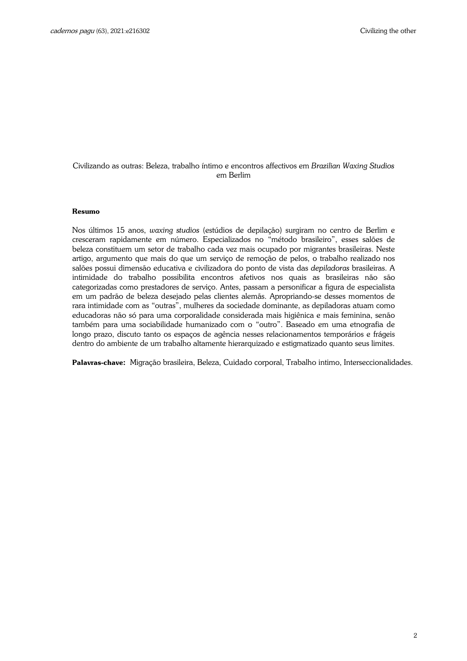## Civilizando as outras: Beleza, trabalho íntimo e encontros affectivos em *Brazilian Waxing Studios* em Berlim

#### **Resumo**

Nos últimos 15 anos, *waxing studios* (estúdios de depilação) surgiram no centro de Berlim e cresceram rapidamente em número. Especializados no "método brasileiro", esses salões de beleza constituem um setor de trabalho cada vez mais ocupado por migrantes brasileiras. Neste artigo, argumento que mais do que um serviço de remoção de pelos, o trabalho realizado nos salões possui dimensão educativa e civilizadora do ponto de vista das *depiladoras* brasileiras. A intimidade do trabalho possibilita encontros afetivos nos quais as brasileiras não são categorizadas como prestadores de serviço. Antes, passam a personificar a figura de especialista em um padrão de beleza desejado pelas clientes alemãs. Apropriando-se desses momentos de rara intimidade com as "outras", mulheres da sociedade dominante, as depiladoras atuam como educadoras não só para uma corporalidade considerada mais higiênica e mais feminina, senão também para uma sociabilidade humanizado com o "outro". Baseado em uma etnografia de longo prazo, discuto tanto os espaços de agência nesses relacionamentos temporários e frágeis dentro do ambiente de um trabalho altamente hierarquizado e estigmatizado quanto seus limites.

**Palavras-chave:** Migração brasileira, Beleza, Cuidado corporal, Trabalho intimo, Interseccionalidades.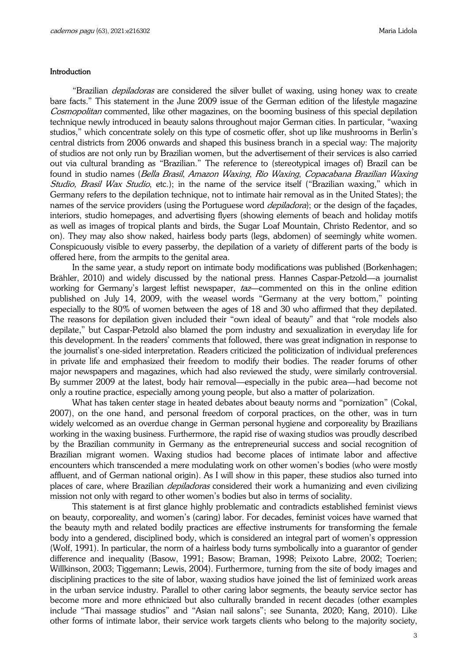#### Introduction

"Brazilian *depiladoras* are considered the silver bullet of waxing, using honey wax to create bare facts." This statement in the June 2009 issue of the German edition of the lifestyle magazine Cosmopolitan commented, like other magazines, on the booming business of this special depilation technique newly introduced in beauty salons throughout major German cities. In particular, "waxing studios," which concentrate solely on this type of cosmetic offer, shot up like mushrooms in Berlin's central districts from 2006 onwards and shaped this business branch in a special way: The majority of studios are not only run by Brazilian women, but the advertisement of their services is also carried out via cultural branding as "Brazilian." The reference to (stereotypical images of) Brazil can be found in studio names (Bella Brasil, Amazon Waxing, Rio Waxing, Copacabana Brazilian Waxing Studio, Brasil Wax Studio, etc.); in the name of the service itself ("Brazilian waxing," which in Germany refers to the depilation technique, not to intimate hair removal as in the United States); the names of the service providers (using the Portuguese word *depiladora*); or the design of the façades, interiors, studio homepages, and advertising flyers (showing elements of beach and holiday motifs as well as images of tropical plants and birds, the Sugar Loaf Mountain, Christo Redentor, and so on). They may also show naked, hairless body parts (legs, abdomen) of seemingly white women. Conspicuously visible to every passerby, the depilation of a variety of different parts of the body is offered here, from the armpits to the genital area.

In the same year, a study report on intimate body modifications was published (Borkenhagen; Brähler, 2010) and widely discussed by the national press. Hannes Caspar-Petzold—a journalist working for Germany's largest leftist newspaper, *taz*—commented on this in the online edition published on July 14, 2009, with the weasel words "Germany at the very bottom," pointing especially to the 80% of women between the ages of 18 and 30 who affirmed that they depilated. The reasons for depilation given included their "own ideal of beauty" and that "role models also depilate," but Caspar-Petzold also blamed the porn industry and sexualization in everyday life for this development. In the readers' comments that followed, there was great indignation in response to the journalist's one-sided interpretation. Readers criticized the politicization of individual preferences in private life and emphasized their freedom to modify their bodies. The reader forums of other major newspapers and magazines, which had also reviewed the study, were similarly controversial. By summer 2009 at the latest, body hair removal—especially in the pubic area—had become not only a routine practice, especially among young people, but also a matter of polarization.

What has taken center stage in heated debates about beauty norms and "pornization" (Cokal, 2007), on the one hand, and personal freedom of corporal practices, on the other, was in turn widely welcomed as an overdue change in German personal hygiene and corporeality by Brazilians working in the waxing business. Furthermore, the rapid rise of waxing studios was proudly described by the Brazilian community in Germany as the entrepreneurial success and social recognition of Brazilian migrant women. Waxing studios had become places of intimate labor and affective encounters which transcended a mere modulating work on other women's bodies (who were mostly affluent, and of German national origin). As I will show in this paper, these studios also turned into places of care, where Brazilian *depiladoras* considered their work a humanizing and even civilizing mission not only with regard to other women's bodies but also in terms of sociality.

This statement is at first glance highly problematic and contradicts established feminist views on beauty, corporeality, and women's (caring) labor. For decades, feminist voices have warned that the beauty myth and related bodily practices are effective instruments for transforming the female body into a gendered, disciplined body, which is considered an integral part of women's oppression (Wolf, 1991). In particular, the norm of a hairless body turns symbolically into a guarantor of gender difference and inequality (Basow, 1991; Basow; Braman, 1998; Peixoto Labre, 2002; Toerien; Willkinson, 2003; Tiggemann; Lewis, 2004). Furthermore, turning from the site of body images and disciplining practices to the site of labor, waxing studios have joined the list of feminized work areas in the urban service industry. Parallel to other caring labor segments, the beauty service sector has become more and more ethnicized but also culturally branded in recent decades (other examples include "Thai massage studios" and "Asian nail salons"; see Sunanta, 2020; Kang, 2010). Like other forms of intimate labor, their service work targets clients who belong to the majority society,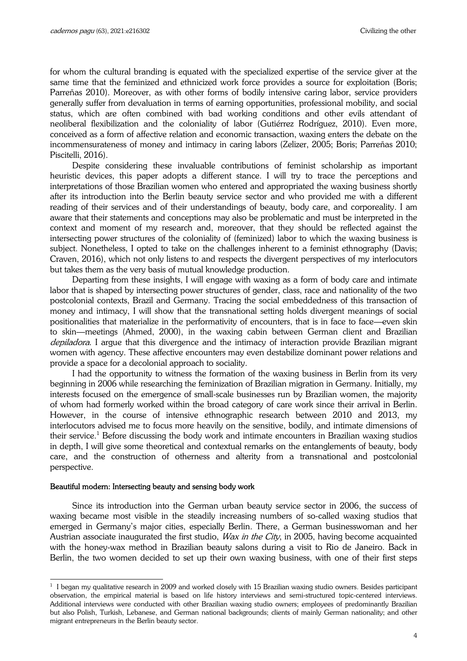for whom the cultural branding is equated with the specialized expertise of the service giver at the same time that the feminized and ethnicized work force provides a source for exploitation (Boris; Parreñas 2010). Moreover, as with other forms of bodily intensive caring labor, service providers generally suffer from devaluation in terms of earning opportunities, professional mobility, and social status, which are often combined with bad working conditions and other evils attendant of neoliberal flexibilization and the coloniality of labor (Gutiérrez Rodríguez, 2010). Even more, conceived as a form of affective relation and economic transaction, waxing enters the debate on the incommensurateness of money and intimacy in caring labors (Zelizer, 2005; Boris; Parreñas 2010; Piscitelli, 2016).

Despite considering these invaluable contributions of feminist scholarship as important heuristic devices, this paper adopts a different stance. I will try to trace the perceptions and interpretations of those Brazilian women who entered and appropriated the waxing business shortly after its introduction into the Berlin beauty service sector and who provided me with a different reading of their services and of their understandings of beauty, body care, and corporeality. I am aware that their statements and conceptions may also be problematic and must be interpreted in the context and moment of my research and, moreover, that they should be reflected against the intersecting power structures of the coloniality of (feminized) labor to which the waxing business is subject. Nonetheless, I opted to take on the challenges inherent to a feminist ethnography (Davis; Craven, 2016), which not only listens to and respects the divergent perspectives of my interlocutors but takes them as the very basis of mutual knowledge production.

Departing from these insights, I will engage with waxing as a form of body care and intimate labor that is shaped by intersecting power structures of gender, class, race and nationality of the two postcolonial contexts, Brazil and Germany. Tracing the social embeddedness of this transaction of money and intimacy, I will show that the transnational setting holds divergent meanings of social positionalities that materialize in the performativity of encounters, that is in face to face—even skin to skin—meetings (Ahmed, 2000), in the waxing cabin between German client and Brazilian depiladora. I argue that this divergence and the intimacy of interaction provide Brazilian migrant women with agency. These affective encounters may even destabilize dominant power relations and provide a space for a decolonial approach to sociality.

I had the opportunity to witness the formation of the waxing business in Berlin from its very beginning in 2006 while researching the feminization of Brazilian migration in Germany. Initially, my interests focused on the emergence of small-scale businesses run by Brazilian women, the majority of whom had formerly worked within the broad category of care work since their arrival in Berlin. However, in the course of intensive ethnographic research between 2010 and 2013, my interlocutors advised me to focus more heavily on the sensitive, bodily, and intimate dimensions of their service.<sup>1</sup> Before discussing the body work and intimate encounters in Brazilian waxing studios in depth, I will give some theoretical and contextual remarks on the entanglements of beauty, body care, and the construction of otherness and alterity from a transnational and postcolonial perspective.

### Beautiful modern: Intersecting beauty and sensing body work

j

Since its introduction into the German urban beauty service sector in 2006, the success of waxing became most visible in the steadily increasing numbers of so-called waxing studios that emerged in Germany's major cities, especially Berlin. There, a German businesswoman and her Austrian associate inaugurated the first studio, *Wax in the City*, in 2005, having become acquainted with the honey-wax method in Brazilian beauty salons during a visit to Rio de Janeiro. Back in Berlin, the two women decided to set up their own waxing business, with one of their first steps

<sup>1</sup> I began my qualitative research in 2009 and worked closely with 15 Brazilian waxing studio owners. Besides participant observation, the empirical material is based on life history interviews and semi-structured topic-centered interviews. Additional interviews were conducted with other Brazilian waxing studio owners; employees of predominantly Brazilian but also Polish, Turkish, Lebanese, and German national backgrounds; clients of mainly German nationality; and other migrant entrepreneurs in the Berlin beauty sector.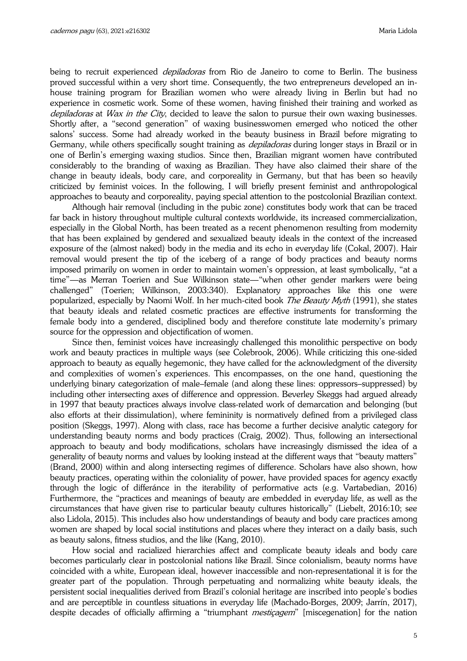being to recruit experienced *depiladoras* from Rio de Janeiro to come to Berlin. The business proved successful within a very short time. Consequently, the two entrepreneurs developed an inhouse training program for Brazilian women who were already living in Berlin but had no experience in cosmetic work. Some of these women, having finished their training and worked as depiladoras at Wax in the City, decided to leave the salon to pursue their own waxing businesses. Shortly after, a "second generation" of waxing businesswomen emerged who noticed the other salons' success. Some had already worked in the beauty business in Brazil before migrating to Germany, while others specifically sought training as *depiladoras* during longer stays in Brazil or in one of Berlin's emerging waxing studios. Since then, Brazilian migrant women have contributed considerably to the branding of waxing as Brazilian. They have also claimed their share of the change in beauty ideals, body care, and corporeality in Germany, but that has been so heavily criticized by feminist voices. In the following, I will briefly present feminist and anthropological approaches to beauty and corporeality, paying special attention to the postcolonial Brazilian context.

Although hair removal (including in the pubic zone) constitutes body work that can be traced far back in history throughout multiple cultural contexts worldwide, its increased commercialization, especially in the Global North, has been treated as a recent phenomenon resulting from modernity that has been explained by gendered and sexualized beauty ideals in the context of the increased exposure of the (almost naked) body in the media and its echo in everyday life (Cokal, 2007). Hair removal would present the tip of the iceberg of a range of body practices and beauty norms imposed primarily on women in order to maintain women's oppression, at least symbolically, "at a time"—as Merran Toerien and Sue Wilkinson state—"when other gender markers were being challenged" (Toerien; Wilkinson, 2003:340). Explanatory approaches like this one were popularized, especially by Naomi Wolf. In her much-cited book *The Beauty Myth* (1991), she states that beauty ideals and related cosmetic practices are effective instruments for transforming the female body into a gendered, disciplined body and therefore constitute late modernity's primary source for the oppression and objectification of women.

Since then, feminist voices have increasingly challenged this monolithic perspective on body work and beauty practices in multiple ways (see Colebrook, 2006). While criticizing this one-sided approach to beauty as equally hegemonic, they have called for the acknowledgment of the diversity and complexities of women's experiences. This encompasses, on the one hand, questioning the underlying binary categorization of male–female (and along these lines: oppressors–suppressed) by including other intersecting axes of difference and oppression. Beverley Skeggs had argued already in 1997 that beauty practices always involve class-related work of demarcation and belonging (but also efforts at their dissimulation), where femininity is normatively defined from a privileged class position (Skeggs, 1997). Along with class, race has become a further decisive analytic category for understanding beauty norms and body practices (Craig, 2002). Thus, following an intersectional approach to beauty and body modifications, scholars have increasingly dismissed the idea of a generality of beauty norms and values by looking instead at the different ways that "beauty matters" (Brand, 2000) within and along intersecting regimes of difference. Scholars have also shown, how beauty practices, operating within the coloniality of power, have provided spaces for agency exactly through the logic of differánce in the iterability of performative acts (e.g. Vartabedian, 2016) Furthermore, the "practices and meanings of beauty are embedded in everyday life, as well as the circumstances that have given rise to particular beauty cultures historically" (Liebelt, 2016:10; see also Lidola, 2015). This includes also how understandings of beauty and body care practices among women are shaped by local social institutions and places where they interact on a daily basis, such as beauty salons, fitness studios, and the like (Kang, 2010).

How social and racialized hierarchies affect and complicate beauty ideals and body care becomes particularly clear in postcolonial nations like Brazil. Since colonialism, beauty norms have coincided with a white, European ideal, however inaccessible and non-representational it is for the greater part of the population. Through perpetuating and normalizing white beauty ideals, the persistent social inequalities derived from Brazil's colonial heritage are inscribed into people's bodies and are perceptible in countless situations in everyday life (Machado-Borges, 2009; Jarrín, 2017), despite decades of officially affirming a "triumphant *mestiçagem*" [miscegenation] for the nation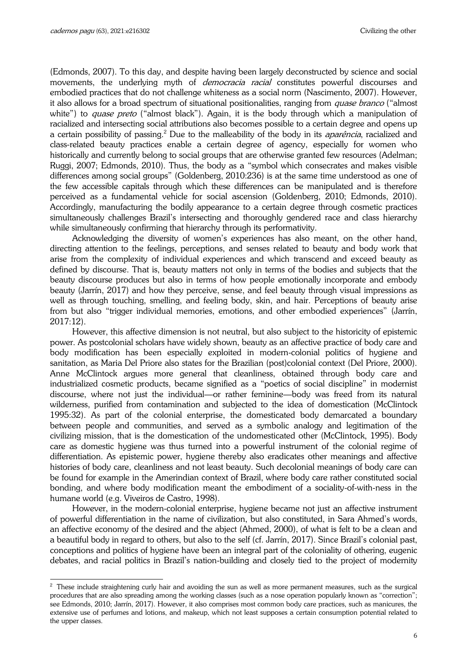j

(Edmonds, 2007). To this day, and despite having been largely deconstructed by science and social movements, the underlying myth of *democracia racial* constitutes powerful discourses and embodied practices that do not challenge whiteness as a social norm (Nascimento, 2007). However, it also allows for a broad spectrum of situational positionalities, ranging from *quase branco* ("almost white") to *quase preto* ("almost black"). Again, it is the body through which a manipulation of racialized and intersecting social attributions also becomes possible to a certain degree and opens up a certain possibility of passing.<sup>2</sup> Due to the malleability of the body in its *aparência*, racialized and class-related beauty practices enable a certain degree of agency, especially for women who historically and currently belong to social groups that are otherwise granted few resources (Adelman; Ruggi, 2007; Edmonds, 2010). Thus, the body as a "symbol which consecrates and makes visible differences among social groups" (Goldenberg, 2010:236) is at the same time understood as one of the few accessible capitals through which these differences can be manipulated and is therefore perceived as a fundamental vehicle for social ascension (Goldenberg, 2010; Edmonds, 2010). Accordingly, manufacturing the bodily appearance to a certain degree through cosmetic practices simultaneously challenges Brazil's intersecting and thoroughly gendered race and class hierarchy while simultaneously confirming that hierarchy through its performativity.

Acknowledging the diversity of women's experiences has also meant, on the other hand, directing attention to the feelings, perceptions, and senses related to beauty and body work that arise from the complexity of individual experiences and which transcend and exceed beauty as defined by discourse. That is, beauty matters not only in terms of the bodies and subjects that the beauty discourse produces but also in terms of how people emotionally incorporate and embody beauty (Jarrín, 2017) and how they perceive, sense, and feel beauty through visual impressions as well as through touching, smelling, and feeling body, skin, and hair. Perceptions of beauty arise from but also "trigger individual memories, emotions, and other embodied experiences" (Jarrín, 2017:12).

However, this affective dimension is not neutral, but also subject to the historicity of epistemic power. As postcolonial scholars have widely shown, beauty as an affective practice of body care and body modification has been especially exploited in modern-colonial politics of hygiene and sanitation, as Maria Del Priore also states for the Brazilian (post)colonial context (Del Priore, 2000). Anne McClintock argues more general that cleanliness, obtained through body care and industrialized cosmetic products, became signified as a "poetics of social discipline" in modernist discourse, where not just the individual—or rather feminine—body was freed from its natural wilderness, purified from contamination and subjected to the idea of domestication (McClintock 1995:32). As part of the colonial enterprise, the domesticated body demarcated a boundary between people and communities, and served as a symbolic analogy and legitimation of the civilizing mission, that is the domestication of the undomesticated other (McClintock, 1995). Body care as domestic hygiene was thus turned into a powerful instrument of the colonial regime of differentiation. As epistemic power, hygiene thereby also eradicates other meanings and affective histories of body care, cleanliness and not least beauty. Such decolonial meanings of body care can be found for example in the Amerindian context of Brazil, where body care rather constituted social bonding, and where body modification meant the embodiment of a sociality-of-with-ness in the humane world (e.g. Viveiros de Castro, 1998).

However, in the modern-colonial enterprise, hygiene became not just an affective instrument of powerful differentiation in the name of civilization, but also constituted, in Sara Ahmed's words, an affective economy of the desired and the abject (Ahmed, 2000), of what is felt to be a clean and a beautiful body in regard to others, but also to the self (cf. Jarrín, 2017). Since Brazil's colonial past, conceptions and politics of hygiene have been an integral part of the coloniality of othering, eugenic debates, and racial politics in Brazil's nation-building and closely tied to the project of modernity

 $^2$  These include straightening curly hair and avoiding the sun as well as more permanent measures, such as the surgical procedures that are also spreading among the working classes (such as a nose operation popularly known as "correction"; see Edmonds, 2010; Jarrín, 2017). However, it also comprises most common body care practices, such as manicures, the extensive use of perfumes and lotions, and makeup, which not least supposes a certain consumption potential related to the upper classes.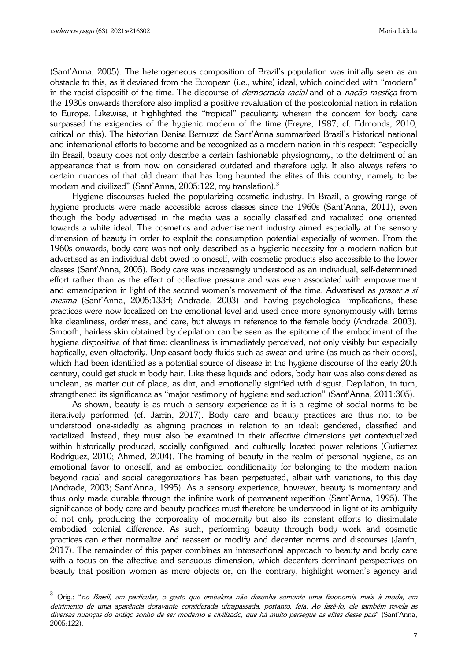j

(Sant'Anna, 2005). The heterogeneous composition of Brazil's population was initially seen as an obstacle to this, as it deviated from the European (i.e., white) ideal, which coincided with "modern" in the racist dispositif of the time. The discourse of *democracia racial* and of a *nação mestica* from the 1930s onwards therefore also implied a positive revaluation of the postcolonial nation in relation to Europe. Likewise, it highlighted the "tropical" peculiarity wherein the concern for body care surpassed the exigencies of the hygienic modern of the time (Freyre, 1987; cf. Edmonds, 2010, critical on this). The historian Denise Bernuzzi de Sant'Anna summarized Brazil's historical national and international efforts to become and be recognized as a modern nation in this respect: "especially iln Brazil, beauty does not only describe a certain fashionable physiognomy, to the detriment of an appearance that is from now on considered outdated and therefore ugly. It also always refers to certain nuances of that old dream that has long haunted the elites of this country, namely to be modern and civilized" (Sant'Anna, 2005:122, my translation). $^3$ 

Hygiene discourses fueled the popularizing cosmetic industry. In Brazil, a growing range of hygiene products were made accessible across classes since the 1960s (Sant'Anna, 2011), even though the body advertised in the media was a socially classified and racialized one oriented towards a white ideal. The cosmetics and advertisement industry aimed especially at the sensory dimension of beauty in order to exploit the consumption potential especially of women. From the 1960s onwards, body care was not only described as a hygienic necessity for a modern nation but advertised as an individual debt owed to oneself, with cosmetic products also accessible to the lower classes (Sant'Anna, 2005). Body care was increasingly understood as an individual, self-determined effort rather than as the effect of collective pressure and was even associated with empowerment and emancipation in light of the second women's movement of the time. Advertised as *prazer a si* mesma (Sant'Anna, 2005:133ff; Andrade, 2003) and having psychological implications, these practices were now localized on the emotional level and used once more synonymously with terms like cleanliness, orderliness, and care, but always in reference to the female body (Andrade, 2003). Smooth, hairless skin obtained by depilation can be seen as the epitome of the embodiment of the hygiene dispositive of that time: cleanliness is immediately perceived, not only visibly but especially haptically, even olfactorily. Unpleasant body fluids such as sweat and urine (as much as their odors), which had been identified as a potential source of disease in the hygiene discourse of the early 20th century, could get stuck in body hair. Like these liquids and odors, body hair was also considered as unclean, as matter out of place, as dirt, and emotionally signified with disgust. Depilation, in turn, strengthened its significance as "major testimony of hygiene and seduction" (Sant'Anna, 2011:305).

As shown, beauty is as much a sensory experience as it is a regime of social norms to be iteratively performed (cf. Jarrín, 2017). Body care and beauty practices are thus not to be understood one-sidedly as aligning practices in relation to an ideal: gendered, classified and racialized. Instead, they must also be examined in their affective dimensions yet contextualized within historically produced, socially configured, and culturally located power relations (Gutierrez Rodríguez, 2010; Ahmed, 2004). The framing of beauty in the realm of personal hygiene, as an emotional favor to oneself, and as embodied conditionality for belonging to the modern nation beyond racial and social categorizations has been perpetuated, albeit with variations, to this day (Andrade, 2003; Sant'Anna, 1995). As a sensory experience, however, beauty is momentary and thus only made durable through the infinite work of permanent repetition (Sant'Anna, 1995). The significance of body care and beauty practices must therefore be understood in light of its ambiguity of not only producing the corporeality of modernity but also its constant efforts to dissimulate embodied colonial difference. As such, performing beauty through body work and cosmetic practices can either normalize and reassert or modify and decenter norms and discourses (Jarrín, 2017). The remainder of this paper combines an intersectional approach to beauty and body care with a focus on the affective and sensuous dimension, which decenters dominant perspectives on beauty that position women as mere objects or, on the contrary, highlight women's agency and

<sup>3</sup> Orig.: "no Brasil, em particular, o gesto que embeleza não desenha somente uma fisionomia mais à moda, em detrimento de uma aparência doravante considerada ultrapassada, portanto, feia. Ao fazê-lo, ele também revela as diversas nuanças do antigo sonho de ser moderno e civilizado, que há muito persegue as elites desse país" (Sant'Anna, 2005:122).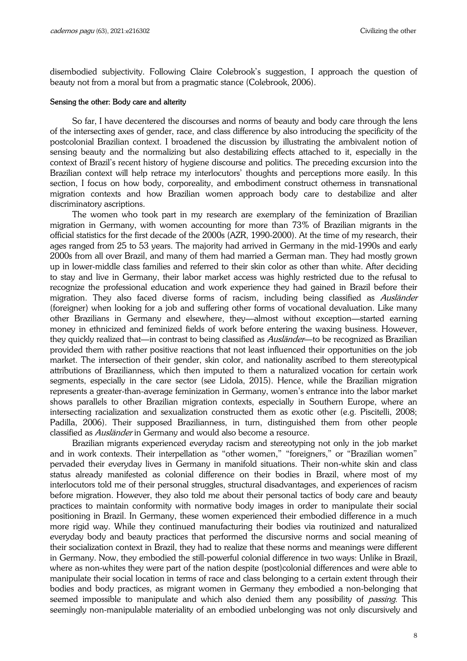disembodied subjectivity. Following Claire Colebrook's suggestion, I approach the question of beauty not from a moral but from a pragmatic stance (Colebrook, 2006).

### Sensing the other: Body care and alterity

So far, I have decentered the discourses and norms of beauty and body care through the lens of the intersecting axes of gender, race, and class difference by also introducing the specificity of the postcolonial Brazilian context. I broadened the discussion by illustrating the ambivalent notion of sensing beauty and the normalizing but also destabilizing effects attached to it, especially in the context of Brazil's recent history of hygiene discourse and politics. The preceding excursion into the Brazilian context will help retrace my interlocutors' thoughts and perceptions more easily. In this section, I focus on how body, corporeality, and embodiment construct otherness in transnational migration contexts and how Brazilian women approach body care to destabilize and alter discriminatory ascriptions.

The women who took part in my research are exemplary of the feminization of Brazilian migration in Germany, with women accounting for more than 73% of Brazilian migrants in the official statistics for the first decade of the 2000s (AZR, 1990-2000). At the time of my research, their ages ranged from 25 to 53 years. The majority had arrived in Germany in the mid-1990s and early 2000s from all over Brazil, and many of them had married a German man. They had mostly grown up in lower-middle class families and referred to their skin color as other than white. After deciding to stay and live in Germany, their labor market access was highly restricted due to the refusal to recognize the professional education and work experience they had gained in Brazil before their migration. They also faced diverse forms of racism, including being classified as Ausländer (foreigner) when looking for a job and suffering other forms of vocational devaluation. Like many other Brazilians in Germany and elsewhere, they—almost without exception—started earning money in ethnicized and feminized fields of work before entering the waxing business. However, they quickly realized that—in contrast to being classified as *Ausländer*—to be recognized as Brazilian provided them with rather positive reactions that not least influenced their opportunities on the job market. The intersection of their gender, skin color, and nationality ascribed to them stereotypical attributions of Brazilianness, which then imputed to them a naturalized vocation for certain work segments, especially in the care sector (see Lidola, 2015). Hence, while the Brazilian migration represents a greater-than-average feminization in Germany, women's entrance into the labor market shows parallels to other Brazilian migration contexts, especially in Southern Europe, where an intersecting racialization and sexualization constructed them as exotic other (e.g. Piscitelli, 2008; Padilla, 2006). Their supposed Brazilianness, in turn, distinguished them from other people classified as Ausländer in Germany and would also become a resource.

Brazilian migrants experienced everyday racism and stereotyping not only in the job market and in work contexts. Their interpellation as "other women," "foreigners," or "Brazilian women" pervaded their everyday lives in Germany in manifold situations. Their non-white skin and class status already manifested as colonial difference on their bodies in Brazil, where most of my interlocutors told me of their personal struggles, structural disadvantages, and experiences of racism before migration. However, they also told me about their personal tactics of body care and beauty practices to maintain conformity with normative body images in order to manipulate their social positioning in Brazil. In Germany, these women experienced their embodied difference in a much more rigid way. While they continued manufacturing their bodies via routinized and naturalized everyday body and beauty practices that performed the discursive norms and social meaning of their socialization context in Brazil, they had to realize that these norms and meanings were different in Germany. Now, they embodied the still-powerful colonial difference in two ways: Unlike in Brazil, where as non-whites they were part of the nation despite (post)colonial differences and were able to manipulate their social location in terms of race and class belonging to a certain extent through their bodies and body practices, as migrant women in Germany they embodied a non-belonging that seemed impossible to manipulate and which also denied them any possibility of *passing*. This seemingly non-manipulable materiality of an embodied unbelonging was not only discursively and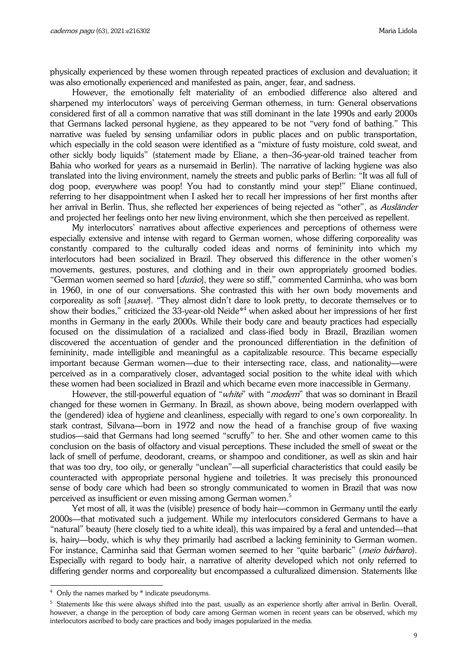physically experienced by these women through repeated practices of exclusion and devaluation; it was also emotionally experienced and manifested as pain, anger, fear, and sadness.

However, the emotionally felt materiality of an embodied difference also altered and sharpened my interlocutors' ways of perceiving German otherness, in turn: General observations considered first of all a common narrative that was still dominant in the late 1990s and early 2000s that Germans lacked personal hygiene, as they appeared to be not "very fond of bathing." This narrative was fueled by sensing unfamiliar odors in public places and on public transportation, which especially in the cold season were identified as a "mixture of fusty moisture, cold sweat, and other sickly body liquids" (statement made by Eliane, a then–36-year-old trained teacher from Bahia who worked for years as a nursemaid in Berlin). The narrative of lacking hygiene was also translated into the living environment, namely the streets and public parks of Berlin: "It was all full of dog poop, everywhere was poop! You had to constantly mind your step!" Eliane continued, referring to her disappointment when I asked her to recall her impressions of her first months after her arrival in Berlin. Thus, she reflected her experiences of being rejected as "other", as Ausländer and projected her feelings onto her new living environment, which she then perceived as repellent.

My interlocutors' narratives about affective experiences and perceptions of otherness were especially extensive and intense with regard to German women, whose differing corporeality was constantly compared to the culturally coded ideas and norms of femininity into which my interlocutors had been socialized in Brazil. They observed this difference in the other women's movements, gestures, postures, and clothing and in their own appropriately groomed bodies. "German women seemed so hard [*durão*], they were so stiff," commented Carminha, who was born in 1960, in one of our conversations. She contrasted this with her own body movements and corporeality as soft [suave]. "They almost didn't dare to look pretty, to decorate themselves or to show their bodies," criticized the 33-year-old Neide\*<sup>4</sup> when asked about her impressions of her first months in Germany in the early 2000s. While their body care and beauty practices had especially focused on the dissimulation of a racialized and class-ified body in Brazil, Brazilian women discovered the accentuation of gender and the pronounced differentiation in the definition of femininity, made intelligible and meaningful as a capitalizable resource. This became especially important because German women—due to their intersecting race, class, and nationality—were perceived as in a comparatively closer, advantaged social position to the white ideal with which these women had been socialized in Brazil and which became even more inaccessible in Germany.

However, the still-powerful equation of "*white*" with "*modern*" that was so dominant in Brazil changed for these women in Germany. In Brazil, as shown above, being modern overlapped with the (gendered) idea of hygiene and cleanliness, especially with regard to one's own corporeality. In stark contrast, Silvana—born in 1972 and now the head of a franchise group of five waxing studios—said that Germans had long seemed "scruffy" to her. She and other women came to this conclusion on the basis of olfactory and visual perceptions. These included the smell of sweat or the lack of smell of perfume, deodorant, creams, or shampoo and conditioner, as well as skin and hair that was too dry, too oily, or generally "unclean"—all superficial characteristics that could easily be counteracted with appropriate personal hygiene and toiletries. It was precisely this pronounced sense of body care which had been so strongly communicated to women in Brazil that was now perceived as insufficient or even missing among German women.<sup>5</sup>

Yet most of all, it was the (visible) presence of body hair—common in Germany until the early 2000s—that motivated such a judgement. While my interlocutors considered Germans to have a "natural" beauty (here closely tied to a white ideal), this was impaired by a feral and untended—that is, hairy—body, which is why they primarily had ascribed a lacking femininity to German women. For instance, Carminha said that German women seemed to her "quite barbaric" (meio bárbaro). Especially with regard to body hair, a narrative of alterity developed which not only referred to differing gender norms and corporeality but encompassed a culturalized dimension. Statements like

j

<sup>&</sup>lt;sup>4</sup> Only the names marked by \* indicate pseudonyms.

 $^5$  Statements like this were always shifted into the past, usually as an experience shortly after arrival in Berlin. Overall, however, a change in the perception of body care among German women in recent years can be observed, which my interlocutors ascribed to body care practices and body images popularized in the media.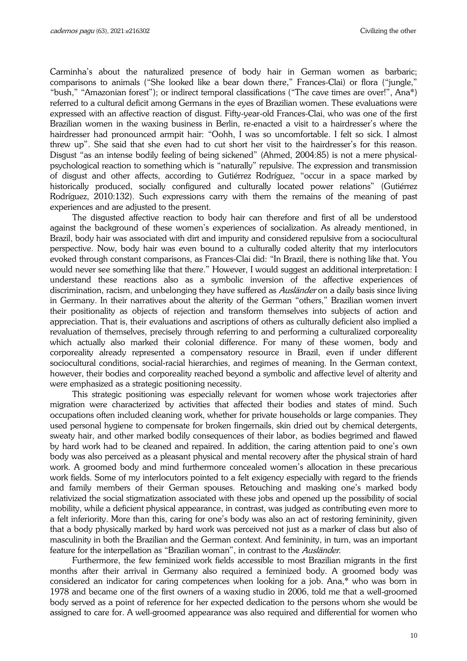Carminha's about the naturalized presence of body hair in German women as barbaric; comparisons to animals ("She looked like a bear down there," Frances-Clai) or flora ("jungle," "bush," "Amazonian forest"); or indirect temporal classifications ("The cave times are over!", Ana\*) referred to a cultural deficit among Germans in the eyes of Brazilian women. These evaluations were expressed with an affective reaction of disgust. Fifty-year-old Frances-Clai, who was one of the first Brazilian women in the waxing business in Berlin, re-enacted a visit to a hairdresser's where the hairdresser had pronounced armpit hair: "Oohh, I was so uncomfortable. I felt so sick. I almost threw up". She said that she even had to cut short her visit to the hairdresser's for this reason. Disgust "as an intense bodily feeling of being sickened" (Ahmed, 2004:85) is not a mere physicalpsychological reaction to something which is "naturally" repulsive. The expression and transmission of disgust and other affects, according to Gutiérrez Rodríguez, "occur in a space marked by historically produced, socially configured and culturally located power relations" (Gutiérrez Rodríguez, 2010:132). Such expressions carry with them the remains of the meaning of past experiences and are adjusted to the present.

The disgusted affective reaction to body hair can therefore and first of all be understood against the background of these women's experiences of socialization. As already mentioned, in Brazil, body hair was associated with dirt and impurity and considered repulsive from a sociocultural perspective. Now, body hair was even bound to a culturally coded alterity that my interlocutors evoked through constant comparisons, as Frances-Clai did: "In Brazil, there is nothing like that. You would never see something like that there." However, I would suggest an additional interpretation: I understand these reactions also as a symbolic inversion of the affective experiences of discrimination, racism, and unbelonging they have suffered as Ausländer on a daily basis since living in Germany. In their narratives about the alterity of the German "others," Brazilian women invert their positionality as objects of rejection and transform themselves into subjects of action and appreciation. That is, their evaluations and ascriptions of others as culturally deficient also implied a revaluation of themselves, precisely through referring to and performing a culturalized corporeality which actually also marked their colonial difference. For many of these women, body and corporeality already represented a compensatory resource in Brazil, even if under different sociocultural conditions, social-racial hierarchies, and regimes of meaning. In the German context, however, their bodies and corporeality reached beyond a symbolic and affective level of alterity and were emphasized as a strategic positioning necessity.

This strategic positioning was especially relevant for women whose work trajectories after migration were characterized by activities that affected their bodies and states of mind. Such occupations often included cleaning work, whether for private households or large companies. They used personal hygiene to compensate for broken fingernails, skin dried out by chemical detergents, sweaty hair, and other marked bodily consequences of their labor, as bodies begrimed and flawed by hard work had to be cleaned and repaired. In addition, the caring attention paid to one's own body was also perceived as a pleasant physical and mental recovery after the physical strain of hard work. A groomed body and mind furthermore concealed women's allocation in these precarious work fields. Some of my interlocutors pointed to a felt exigency especially with regard to the friends and family members of their German spouses. Retouching and masking one's marked body relativized the social stigmatization associated with these jobs and opened up the possibility of social mobility, while a deficient physical appearance, in contrast, was judged as contributing even more to a felt inferiority. More than this, caring for one's body was also an act of restoring femininity, given that a body physically marked by hard work was perceived not just as a marker of class but also of masculinity in both the Brazilian and the German context. And femininity, in turn, was an important feature for the interpellation as "Brazilian woman", in contrast to the Ausländer.

Furthermore, the few feminized work fields accessible to most Brazilian migrants in the first months after their arrival in Germany also required a feminized body. A groomed body was considered an indicator for caring competences when looking for a job. Ana,\* who was born in 1978 and became one of the first owners of a waxing studio in 2006, told me that a well-groomed body served as a point of reference for her expected dedication to the persons whom she would be assigned to care for. A well-groomed appearance was also required and differential for women who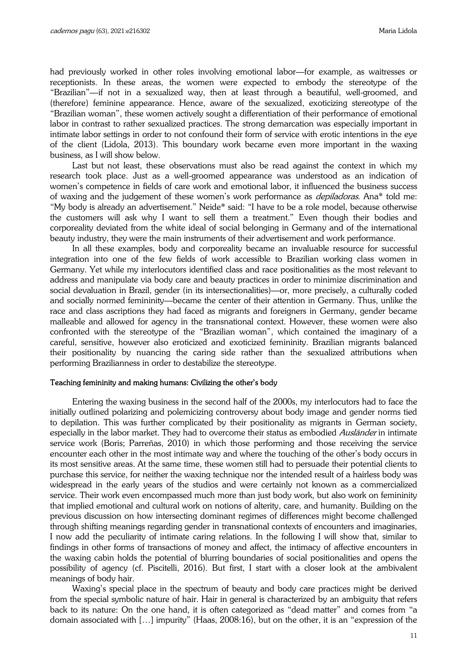had previously worked in other roles involving emotional labor—for example, as waitresses or receptionists. In these areas, the women were expected to embody the stereotype of the "Brazilian"—if not in a sexualized way, then at least through a beautiful, well-groomed, and (therefore) feminine appearance. Hence, aware of the sexualized, exoticizing stereotype of the "Brazilian woman", these women actively sought a differentiation of their performance of emotional labor in contrast to rather sexualized practices. The strong demarcation was especially important in intimate labor settings in order to not confound their form of service with erotic intentions in the eye of the client (Lidola, 2013). This boundary work became even more important in the waxing business, as I will show below.

Last but not least, these observations must also be read against the context in which my research took place. Just as a well-groomed appearance was understood as an indication of women's competence in fields of care work and emotional labor, it influenced the business success of waxing and the judgement of these women's work performance as *depiladoras*. Ana\* told me: "My body is already an advertisement." Neide\* said: "I have to be a role model, because otherwise the customers will ask why I want to sell them a treatment." Even though their bodies and corporeality deviated from the white ideal of social belonging in Germany and of the international beauty industry, they were the main instruments of their advertisement and work performance.

In all these examples, body and corporeality became an invaluable resource for successful integration into one of the few fields of work accessible to Brazilian working class women in Germany. Yet while my interlocutors identified class and race positionalities as the most relevant to address and manipulate via body care and beauty practices in order to minimize discrimination and social devaluation in Brazil, gender (in its intersectionalities)—or, more precisely, a culturally coded and socially normed femininity—became the center of their attention in Germany. Thus, unlike the race and class ascriptions they had faced as migrants and foreigners in Germany, gender became malleable and allowed for agency in the transnational context. However, these women were also confronted with the stereotype of the "Brazilian woman", which contained the imaginary of a careful, sensitive, however also eroticized and exoticized femininity. Brazilian migrants balanced their positionality by nuancing the caring side rather than the sexualized attributions when performing Brazilianness in order to destabilize the stereotype.

### Teaching femininity and making humans: Civilizing the other's body

Entering the waxing business in the second half of the 2000s, my interlocutors had to face the initially outlined polarizing and polemicizing controversy about body image and gender norms tied to depilation. This was further complicated by their positionality as migrants in German society, especially in the labor market. They had to overcome their status as embodied Ausländer in intimate service work (Boris; Parreñas, 2010) in which those performing and those receiving the service encounter each other in the most intimate way and where the touching of the other's body occurs in its most sensitive areas. At the same time, these women still had to persuade their potential clients to purchase this service, for neither the waxing technique nor the intended result of a hairless body was widespread in the early years of the studios and were certainly not known as a commercialized service. Their work even encompassed much more than just body work, but also work on femininity that implied emotional and cultural work on notions of alterity, care, and humanity. Building on the previous discussion on how intersecting dominant regimes of differences might become challenged through shifting meanings regarding gender in transnational contexts of encounters and imaginaries, I now add the peculiarity of intimate caring relations. In the following I will show that, similar to findings in other forms of transactions of money and affect, the intimacy of affective encounters in the waxing cabin holds the potential of blurring boundaries of social positionalities and opens the possibility of agency (cf. Piscitelli, 2016). But first, I start with a closer look at the ambivalent meanings of body hair.

Waxing's special place in the spectrum of beauty and body care practices might be derived from the special symbolic nature of hair. Hair in general is characterized by an ambiguity that refers back to its nature: On the one hand, it is often categorized as "dead matter" and comes from "a domain associated with […] impurity" (Haas, 2008:16), but on the other, it is an "expression of the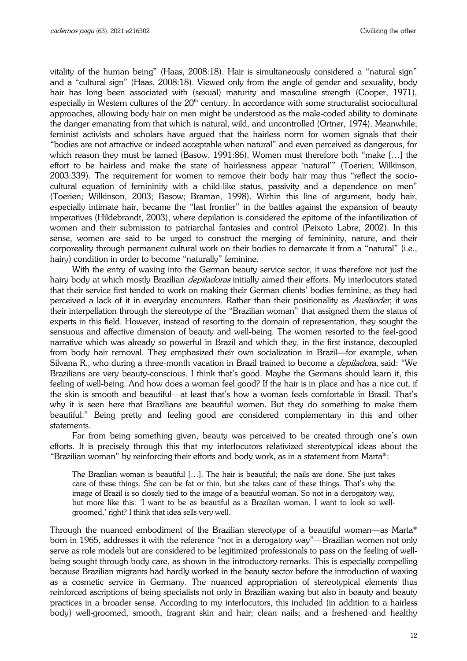vitality of the human being" (Haas, 2008:18). Hair is simultaneously considered a "natural sign" and a "cultural sign" (Haas, 2008:18). Viewed only from the angle of gender and sexuality, body hair has long been associated with (sexual) maturity and masculine strength (Cooper, 1971), especially in Western cultures of the  $20<sup>th</sup>$  century. In accordance with some structuralist sociocultural approaches, allowing body hair on men might be understood as the male-coded ability to dominate the danger emanating from that which is natural, wild, and uncontrolled (Ortner, 1974). Meanwhile, feminist activists and scholars have argued that the hairless norm for women signals that their "bodies are not attractive or indeed acceptable when natural" and even perceived as dangerous, for which reason they must be tamed (Basow, 1991:86). Women must therefore both "make […] the effort to be hairless and make the state of hairlessness appear 'natural'" (Toerien; Wilkinson, 2003:339). The requirement for women to remove their body hair may thus "reflect the sociocultural equation of femininity with a child-like status, passivity and a dependence on men" (Toerien; Wilkinson, 2003; Basow; Braman, 1998). Within this line of argument, body hair, especially intimate hair, became the "last frontier" in the battles against the expansion of beauty imperatives (Hildebrandt, 2003), where depilation is considered the epitome of the infantilization of women and their submission to patriarchal fantasies and control (Peixoto Labre, 2002). In this sense, women are said to be urged to construct the merging of femininity, nature, and their corporeality through permanent cultural work on their bodies to demarcate it from a "natural" (i.e., hairy) condition in order to become "naturally" feminine.

With the entry of waxing into the German beauty service sector, it was therefore not just the hairy body at which mostly Brazilian *depiladoras* initially aimed their efforts. My interlocutors stated that their service first tended to work on making their German clients' bodies feminine, as they had perceived a lack of it in everyday encounters. Rather than their positionality as Ausländer, it was their interpellation through the stereotype of the "Brazilian woman" that assigned them the status of experts in this field. However, instead of resorting to the domain of representation, they sought the sensuous and affective dimension of beauty and well-being. The women resorted to the feel-good narrative which was already so powerful in Brazil and which they, in the first instance, decoupled from body hair removal. They emphasized their own socialization in Brazil—for example, when Silvana R., who during a three-month vacation in Brazil trained to become a *depiladora*, said: "We Brazilians are very beauty-conscious. I think that's good. Maybe the Germans should learn it, this feeling of well-being. And how does a woman feel good? If the hair is in place and has a nice cut, if the skin is smooth and beautiful—at least that's how a woman feels comfortable in Brazil. That's why it is seen here that Brazilians are beautiful women. But they do something to make them beautiful." Being pretty and feeling good are considered complementary in this and other statements.

Far from being something given, beauty was perceived to be created through one's own efforts. It is precisely through this that my interlocutors relativized stereotypical ideas about the "Brazilian woman" by reinforcing their efforts and body work, as in a statement from Marta\*:

The Brazilian woman is beautiful […]. The hair is beautiful; the nails are done. She just takes care of these things. She can be fat or thin, but she takes care of these things. That's why the image of Brazil is so closely tied to the image of a beautiful woman. So not in a derogatory way, but more like this: 'I want to be as beautiful as a Brazilian woman, I want to look so wellgroomed,' right? I think that idea sells very well.

Through the nuanced embodiment of the Brazilian stereotype of a beautiful woman—as Marta\* born in 1965, addresses it with the reference "not in a derogatory way"—Brazilian women not only serve as role models but are considered to be legitimized professionals to pass on the feeling of wellbeing sought through body care, as shown in the introductory remarks. This is especially compelling because Brazilian migrants had hardly worked in the beauty sector before the introduction of waxing as a cosmetic service in Germany. The nuanced appropriation of stereotypical elements thus reinforced ascriptions of being specialists not only in Brazilian waxing but also in beauty and beauty practices in a broader sense. According to my interlocutors, this included (in addition to a hairless body) well-groomed, smooth, fragrant skin and hair; clean nails; and a freshened and healthy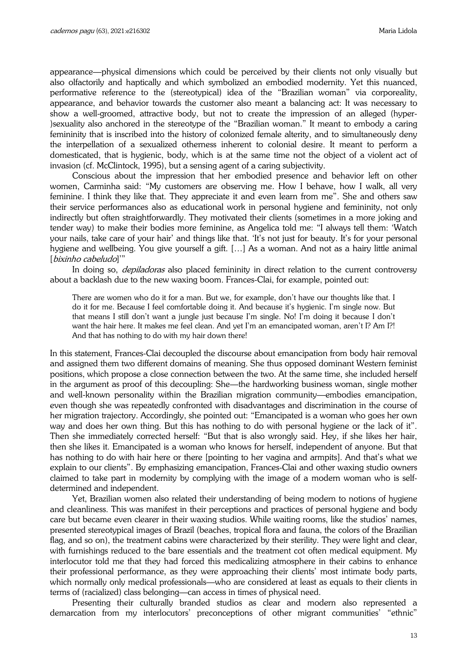appearance—physical dimensions which could be perceived by their clients not only visually but also olfactorily and haptically and which symbolized an embodied modernity. Yet this nuanced, performative reference to the (stereotypical) idea of the "Brazilian woman" via corporeality, appearance, and behavior towards the customer also meant a balancing act: It was necessary to show a well-groomed, attractive body, but not to create the impression of an alleged (hyper- )sexuality also anchored in the stereotype of the "Brazilian woman." It meant to embody a caring femininity that is inscribed into the history of colonized female alterity, and to simultaneously deny the interpellation of a sexualized otherness inherent to colonial desire. It meant to perform a domesticated, that is hygienic, body, which is at the same time not the object of a violent act of invasion (cf. McClintock, 1995), but a sensing agent of a caring subjectivity.

Conscious about the impression that her embodied presence and behavior left on other women, Carminha said: "My customers are observing me. How I behave, how I walk, all very feminine. I think they like that. They appreciate it and even learn from me". She and others saw their service performances also as educational work in personal hygiene and femininity, not only indirectly but often straightforwardly. They motivated their clients (sometimes in a more joking and tender way) to make their bodies more feminine, as Angelica told me: "I always tell them: 'Watch your nails, take care of your hair' and things like that. 'It's not just for beauty. It's for your personal hygiene and wellbeing. You give yourself a gift. […] As a woman. And not as a hairy little animal [bixinho cabeludo]"

In doing so, *depiladoras* also placed femininity in direct relation to the current controversy about a backlash due to the new waxing boom. Frances-Clai, for example, pointed out:

There are women who do it for a man. But we, for example, don't have our thoughts like that. I do it for me. Because I feel comfortable doing it. And because it's hygienic. I'm single now. But that means I still don't want a jungle just because I'm single. No! I'm doing it because I don't want the hair here. It makes me feel clean. And yet I'm an emancipated woman, aren't I? Am I?! And that has nothing to do with my hair down there!

In this statement, Frances-Clai decoupled the discourse about emancipation from body hair removal and assigned them two different domains of meaning. She thus opposed dominant Western feminist positions, which propose a close connection between the two. At the same time, she included herself in the argument as proof of this decoupling: She—the hardworking business woman, single mother and well-known personality within the Brazilian migration community—embodies emancipation, even though she was repeatedly confronted with disadvantages and discrimination in the course of her migration trajectory. Accordingly, she pointed out: "Emancipated is a woman who goes her own way and does her own thing. But this has nothing to do with personal hygiene or the lack of it". Then she immediately corrected herself: "But that is also wrongly said. Hey, if she likes her hair, then she likes it. Emancipated is a woman who knows for herself, independent of anyone. But that has nothing to do with hair here or there [pointing to her vagina and armpits]. And that's what we explain to our clients". By emphasizing emancipation, Frances-Clai and other waxing studio owners claimed to take part in modernity by complying with the image of a modern woman who is selfdetermined and independent.

Yet, Brazilian women also related their understanding of being modern to notions of hygiene and cleanliness. This was manifest in their perceptions and practices of personal hygiene and body care but became even clearer in their waxing studios. While waiting rooms, like the studios' names, presented stereotypical images of Brazil (beaches, tropical flora and fauna, the colors of the Brazilian flag, and so on), the treatment cabins were characterized by their sterility. They were light and clear, with furnishings reduced to the bare essentials and the treatment cot often medical equipment. My interlocutor told me that they had forced this medicalizing atmosphere in their cabins to enhance their professional performance, as they were approaching their clients' most intimate body parts, which normally only medical professionals—who are considered at least as equals to their clients in terms of (racialized) class belonging—can access in times of physical need.

Presenting their culturally branded studios as clear and modern also represented a demarcation from my interlocutors' preconceptions of other migrant communities' "ethnic"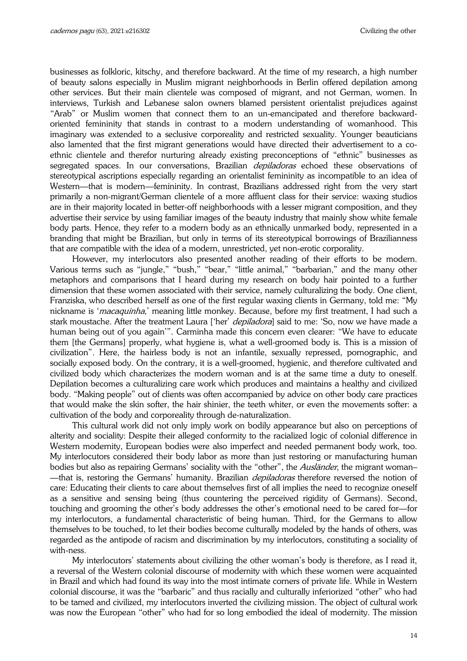businesses as folkloric, kitschy, and therefore backward. At the time of my research, a high number of beauty salons especially in Muslim migrant neighborhoods in Berlin offered depilation among other services. But their main clientele was composed of migrant, and not German, women. In interviews, Turkish and Lebanese salon owners blamed persistent orientalist prejudices against "Arab" or Muslim women that connect them to an un-emancipated and therefore backwardoriented femininity that stands in contrast to a modern understanding of womanhood. This imaginary was extended to a seclusive corporeality and restricted sexuality. Younger beauticians also lamented that the first migrant generations would have directed their advertisement to a coethnic clientele and therefor nurturing already existing preconceptions of "ethnic" businesses as segregated spaces. In our conversations, Brazilian *depiladoras* echoed these observations of stereotypical ascriptions especially regarding an orientalist femininity as incompatible to an idea of Western—that is modern—femininity. In contrast, Brazilians addressed right from the very start primarily a non-migrant/German clientele of a more affluent class for their service: waxing studios are in their majority located in better-off neighborhoods with a lesser migrant composition, and they advertise their service by using familiar images of the beauty industry that mainly show white female body parts. Hence, they refer to a modern body as an ethnically unmarked body, represented in a branding that might be Brazilian, but only in terms of its stereotypical borrowings of Brazilianness that are compatible with the idea of a modern, unrestricted, yet non-erotic corporality.

However, my interlocutors also presented another reading of their efforts to be modern. Various terms such as "jungle," "bush," "bear," "little animal," "barbarian," and the many other metaphors and comparisons that I heard during my research on body hair pointed to a further dimension that these women associated with their service, namely culturalizing the body. One client, Franziska, who described herself as one of the first regular waxing clients in Germany, told me: "My nickname is '*macaquinha*,' meaning little monkey. Because, before my first treatment, I had such a stark moustache. After the treatment Laura ['her' *depiladora*] said to me: 'So, now we have made a human being out of you again'". Carminha made this concern even clearer: "We have to educate them [the Germans] properly, what hygiene is, what a well-groomed body is. This is a mission of civilization". Here, the hairless body is not an infantile, sexually repressed, pornographic, and socially exposed body. On the contrary, it is a well-groomed, hygienic, and therefore cultivated and civilized body which characterizes the modern woman and is at the same time a duty to oneself. Depilation becomes a culturalizing care work which produces and maintains a healthy and civilized body. "Making people" out of clients was often accompanied by advice on other body care practices that would make the skin softer, the hair shinier, the teeth whiter, or even the movements softer: a cultivation of the body and corporeality through de-naturalization.

This cultural work did not only imply work on bodily appearance but also on perceptions of alterity and sociality: Despite their alleged conformity to the racialized logic of colonial difference in Western modernity, European bodies were also imperfect and needed permanent body work, too. My interlocutors considered their body labor as more than just restoring or manufacturing human bodies but also as repairing Germans' sociality with the "other", the Ausländer, the migrant woman-—that is, restoring the Germans' humanity. Brazilian *depiladoras* therefore reversed the notion of care: Educating their clients to care about themselves first of all implies the need to recognize oneself as a sensitive and sensing being (thus countering the perceived rigidity of Germans). Second, touching and grooming the other's body addresses the other's emotional need to be cared for—for my interlocutors, a fundamental characteristic of being human. Third, for the Germans to allow themselves to be touched, to let their bodies become culturally modeled by the hands of others, was regarded as the antipode of racism and discrimination by my interlocutors, constituting a sociality of with-ness.

My interlocutors' statements about civilizing the other woman's body is therefore, as I read it, a reversal of the Western colonial discourse of modernity with which these women were acquainted in Brazil and which had found its way into the most intimate corners of private life. While in Western colonial discourse, it was the "barbaric" and thus racially and culturally inferiorized "other" who had to be tamed and civilized, my interlocutors inverted the civilizing mission. The object of cultural work was now the European "other" who had for so long embodied the ideal of modernity. The mission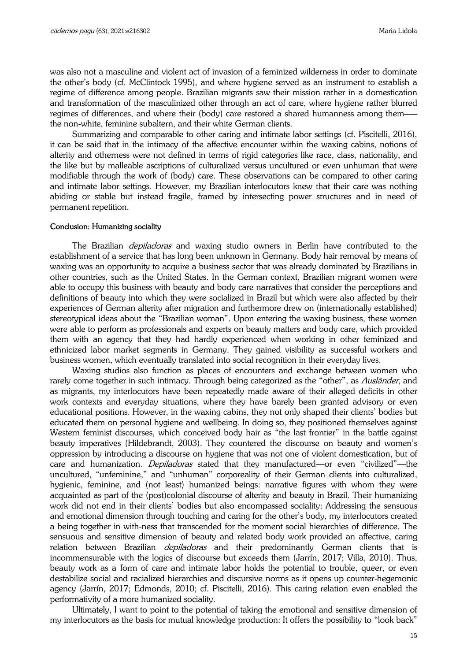was also not a masculine and violent act of invasion of a feminized wilderness in order to dominate the other's body (cf. McClintock 1995), and where hygiene served as an instrument to establish a regime of difference among people. Brazilian migrants saw their mission rather in a domestication and transformation of the masculinized other through an act of care, where hygiene rather blurred regimes of differences, and where their (body) care restored a shared humanness among themthe non-white, feminine subaltern, and their white German clients.

Summarizing and comparable to other caring and intimate labor settings (cf. Piscitelli, 2016), it can be said that in the intimacy of the affective encounter within the waxing cabins, notions of alterity and otherness were not defined in terms of rigid categories like race, class, nationality, and the like but by malleable ascriptions of culturalized versus uncultured or even unhuman that were modifiable through the work of (body) care. These observations can be compared to other caring and intimate labor settings. However, my Brazilian interlocutors knew that their care was nothing abiding or stable but instead fragile, framed by intersecting power structures and in need of permanent repetition.

### Conclusion: Humanizing sociality

The Brazilian *depiladoras* and waxing studio owners in Berlin have contributed to the establishment of a service that has long been unknown in Germany. Body hair removal by means of waxing was an opportunity to acquire a business sector that was already dominated by Brazilians in other countries, such as the United States. In the German context, Brazilian migrant women were able to occupy this business with beauty and body care narratives that consider the perceptions and definitions of beauty into which they were socialized in Brazil but which were also affected by their experiences of German alterity after migration and furthermore drew on (internationally established) stereotypical ideas about the "Brazilian woman". Upon entering the waxing business, these women were able to perform as professionals and experts on beauty matters and body care, which provided them with an agency that they had hardly experienced when working in other feminized and ethnicized labor market segments in Germany. They gained visibility as successful workers and business women, which eventually translated into social recognition in their everyday lives.

Waxing studios also function as places of encounters and exchange between women who rarely come together in such intimacy. Through being categorized as the "other", as *Ausländer*, and as migrants, my interlocutors have been repeatedly made aware of their alleged deficits in other work contexts and everyday situations, where they have barely been granted advisory or even educational positions. However, in the waxing cabins, they not only shaped their clients' bodies but educated them on personal hygiene and wellbeing. In doing so, they positioned themselves against Western feminist discourses, which conceived body hair as "the last frontier" in the battle against beauty imperatives (Hildebrandt, 2003). They countered the discourse on beauty and women's oppression by introducing a discourse on hygiene that was not one of violent domestication, but of care and humanization. *Depiladoras* stated that they manufactured—or even "civilized"—the uncultured, "unfeminine," and "unhuman" corporeality of their German clients into culturalized, hygienic, feminine, and (not least) humanized beings: narrative figures with whom they were acquainted as part of the (post)colonial discourse of alterity and beauty in Brazil. Their humanizing work did not end in their clients' bodies but also encompassed sociality: Addressing the sensuous and emotional dimension through touching and caring for the other's body, my interlocutors created a being together in with-ness that transcended for the moment social hierarchies of difference. The sensuous and sensitive dimension of beauty and related body work provided an affective, caring relation between Brazilian *depiladoras* and their predominantly German clients that is incommensurable with the logics of discourse but exceeds them (Jarrín, 2017; Villa, 2010). Thus, beauty work as a form of care and intimate labor holds the potential to trouble, queer, or even destabilize social and racialized hierarchies and discursive norms as it opens up counter-hegemonic agency (Jarrín, 2017; Edmonds, 2010; cf. Piscitelli, 2016). This caring relation even enabled the performativity of a more humanized sociality.

Ultimately, I want to point to the potential of taking the emotional and sensitive dimension of my interlocutors as the basis for mutual knowledge production: It offers the possibility to "look back"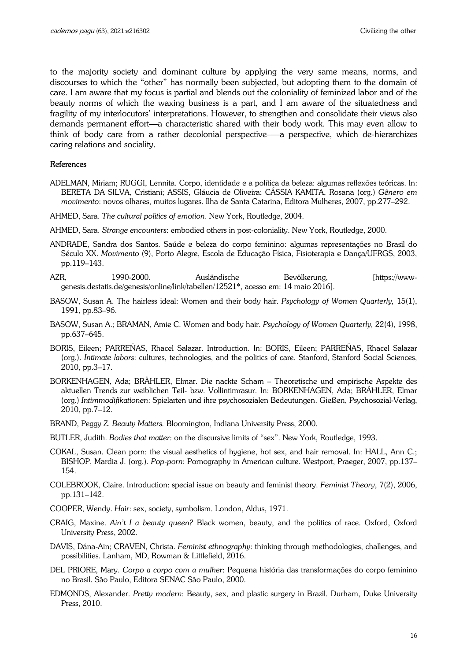to the majority society and dominant culture by applying the very same means, norms, and discourses to which the "other" has normally been subjected, but adopting them to the domain of care. I am aware that my focus is partial and blends out the coloniality of feminized labor and of the beauty norms of which the waxing business is a part, and I am aware of the situatedness and fragility of my interlocutors' interpretations. However, to strengthen and consolidate their views also demands permanent effort—a characteristic shared with their body work. This may even allow to think of body care from a rather decolonial perspective–—a perspective, which de-hierarchizes caring relations and sociality.

#### References

- ADELMAN, Miriam; RUGGI, Lennita. Corpo, identidade e a política da beleza: algumas reflexões teóricas. In: BERETA DA SILVA, Cristiani; ASSIS, Gláucia de Oliveira; CÁSSIA KAMITA, Rosana (org.) *Gênero em movimento*: novos olhares, muitos lugares. Ilha de Santa Catarina, Editora Mulheres, 2007, pp.277–292.
- AHMED, Sara. *The cultural politics of emotion*. New York, Routledge, 2004.
- AHMED, Sara. *Strange encounters*: embodied others in post-coloniality. New York, Routledge, 2000.
- ANDRADE, Sandra dos Santos. Saúde e beleza do corpo feminino: algumas representações no Brasil do Século XX. *Movimento* (9), Porto Alegre, Escola de Educação Física, Fisioterapia e Dança/UFRGS, 2003, pp.119–143.
- AZR, 1990-2000. Ausländische Bevölkerung, [https://wwwgenesis.destatis.de/genesis/online/link/tabellen/12521\*, acesso em: 14 maio 2016].
- BASOW, Susan A. The hairless ideal: Women and their body hair. *Psychology of Women Quarterly,* 15(1), 1991, pp.83–96.
- BASOW, Susan A.; BRAMAN, Amie C. Women and body hair. *Psychology of Women Quarterly,* 22(4), 1998, pp.637–645.
- BORIS, Eileen; PARREÑAS, Rhacel Salazar. Introduction. In: BORIS, Eileen; PARREÑAS, Rhacel Salazar (org.). *Intimate labors*: cultures, technologies, and the politics of care. Stanford, Stanford Social Sciences, 2010, pp.3–17.
- BORKENHAGEN, Ada; BRÄHLER, Elmar. Die nackte Scham Theoretische und empirische Aspekte des aktuellen Trends zur weiblichen Teil- bzw. Vollintimrasur. In: BORKENHAGEN, Ada; BRÄHLER, Elmar (org.) *Intimmodifikationen*: Spielarten und ihre psychosozialen Bedeutungen. Gießen, Psychosozial-Verlag, 2010, pp.7–12.
- BRAND, Peggy Z. *Beauty Matters.* Bloomington, Indiana University Press, 2000.
- BUTLER, Judith. *Bodies that matter*: on the discursive limits of "sex". New York, Routledge, 1993.
- COKAL, Susan. Clean porn: the visual aesthetics of hygiene, hot sex, and hair removal. In: HALL, Ann C.; BISHOP, Mardia J. (org.). *Pop-porn*: Pornography in American culture. Westport, Praeger, 2007, pp.137– 154.
- COLEBROOK, Claire. Introduction: special issue on beauty and feminist theory. *Feminist Theory*, 7(2), 2006, pp.131–142.
- COOPER, Wendy. *Hair*: sex, society, symbolism. London, Aldus, 1971.
- CRAIG, Maxine. *Ain't I a beauty queen?* Black women, beauty, and the politics of race. Oxford, Oxford University Press, 2002.
- DAVIS, Dána-Ain; CRAVEN, Christa. *Feminist ethnography*: thinking through methodologies, challenges, and possibilities. Lanham, MD, Rowman & Littlefield, 2016.
- DEL PRIORE, Mary. *Corpo a corpo com a mulher*: Pequena história das transformações do corpo feminino no Brasil. São Paulo, Editora SENAC São Paulo, 2000.
- EDMONDS, Alexander. *Pretty modern*: Beauty, sex, and plastic surgery in Brazil. Durham, Duke University Press, 2010.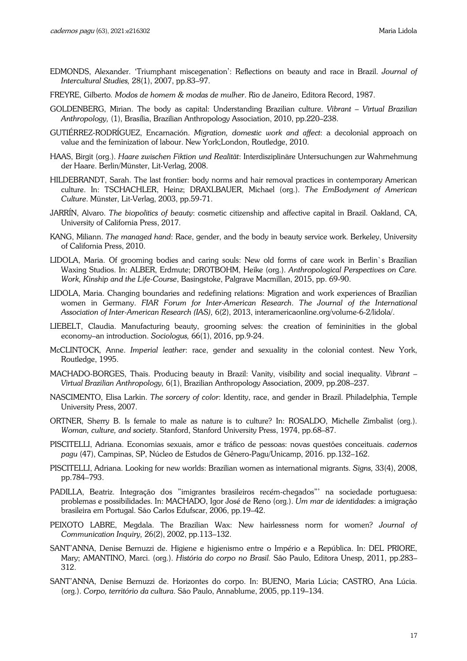- EDMONDS, Alexander. 'Triumphant miscegenation': Reflections on beauty and race in Brazil. *Journal of Intercultural Studies,* 28(1), 2007, pp.83–97.
- FREYRE, Gilberto*. Modos de homem & modas de mulher*. Rio de Janeiro, Editora Record, 1987.
- GOLDENBERG, Mirian. The body as capital: Understanding Brazilian culture. *Vibrant Virtual Brazilian Anthropology,* (1), Brasília, Brazilian Anthropology Association, 2010, pp.220–238.
- GUTIÉRREZ-RODRÍGUEZ, Encarnación. *Migration, domestic work and affect*: a decolonial approach on value and the feminization of labour. New York;London, Routledge, 2010.
- HAAS, Birgit (org.). *Haare zwischen Fiktion und Realität*: Interdisziplinäre Untersuchungen zur Wahrnehmung der Haare. Berlin/Münster, Lit-Verlag, 2008.
- HILDEBRANDT, Sarah. The last frontier: body norms and hair removal practices in contemporary American culture. In: TSCHACHLER, Heinz; DRAXLBAUER, Michael (org.). *The EmBodyment of American Culture*. Münster, Lit-Verlag, 2003, pp.59-71.
- JARRÍN, Alvaro. *The biopolitics of beauty*: cosmetic citizenship and affective capital in Brazil. Oakland, CA, University of California Press, 2017.
- KANG, Miliann. *The managed hand*: Race, gender, and the body in beauty service work. Berkeley, University of California Press, 2010.
- LIDOLA, Maria. Of grooming bodies and caring souls: New old forms of care work in Berlin`s Brazilian Waxing Studios. In: ALBER, Erdmute; DROTBOHM, Heike (org.). *Anthropological Perspectives on Care. Work, Kinship and the Life-Course*, Basingstoke, Palgrave Macmillan, 2015, pp. 69-90.
- LIDOLA, Maria. Changing boundaries and redefining relations: Migration and work experiences of Brazilian women in Germany. *FIAR Forum for Inter-American Research*. *The Journal of the International Association of Inter-American Research (IAS),* 6(2), 2013, interamericaonline.org/volume-6-2/lidola/.
- LIEBELT, Claudia. Manufacturing beauty, grooming selves: the creation of femininities in the global economy–an introduction. *Sociologus,* 66(1), 2016, pp.9-24.
- McCLINTOCK, Anne. *Imperial leather*: race, gender and sexuality in the colonial contest. New York, Routledge, 1995.
- MACHADO-BORGES, Thaïs. Producing beauty in Brazil: Vanity, visibility and social inequality. *Vibrant Virtual Brazilian Anthropology,* 6(1), Brazilian Anthropology Association, 2009, pp.208–237.
- NASCIMENTO, Elisa Larkin. *The sorcery of color*: Identity, race, and gender in Brazil. Philadelphia, Temple University Press, 2007.
- ORTNER, Sherry B. Is female to male as nature is to culture? In: ROSALDO, Michelle Zimbalist (org.). *Woman, culture, and society*. Stanford, Stanford University Press, 1974, pp.68–87.
- PISCITELLI, Adriana. Economias sexuais, amor e tráfico de pessoas: novas questões conceituais. *cadernos pagu* (47), Campinas, SP, Núcleo de Estudos de Gênero-Pagu/Unicamp, 2016. pp.132–162.
- PISCITELLI, Adriana. Looking for new worlds: Brazilian women as international migrants. *Signs,* 33(4), 2008, pp.784–793.
- PADILLA, Beatriz. Integração dos "imigrantes brasileiros recém-chegados"' na sociedade portuguesa: problemas e possibilidades. In: MACHADO, Igor José de Reno (org.). *Um mar de identidades*: a imigração brasileira em Portugal. São Carlos Edufscar, 2006, pp.19–42.
- PEIXOTO LABRE, Megdala. The Brazilian Wax: New hairlessness norm for women? *Journal of Communication Inquiry,* 26(2), 2002, pp.113–132.
- SANT'ANNA, Denise Bernuzzi de. Higiene e higienismo entre o Império e a República. In: DEL PRIORE, Mary; AMANTINO, Marci. (org.). *História do corpo no Brasil.* São Paulo, Editora Unesp, 2011, pp.283– 312.
- SANT'ANNA, Denise Bernuzzi de. Horizontes do corpo. In: BUENO, Maria Lúcia; CASTRO, Ana Lúcia. (org.). *Corpo, território da cultura*. São Paulo, Annablume, 2005, pp.119–134.